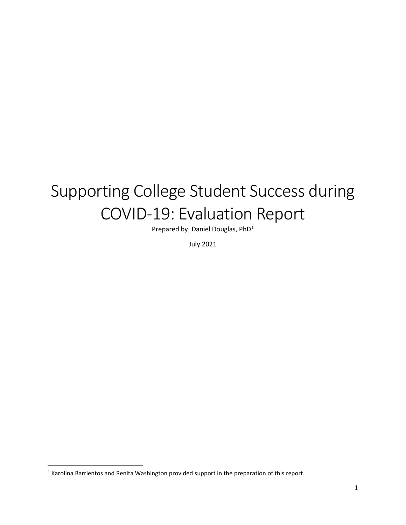# Supporting College Student Success during COVID-19: Evaluation Report

Prepared by: Daniel Douglas, PhD[1](#page-0-0)

July 2021

<span id="page-0-0"></span><sup>&</sup>lt;sup>1</sup> Karolina Barrientos and Renita Washington provided support in the preparation of this report.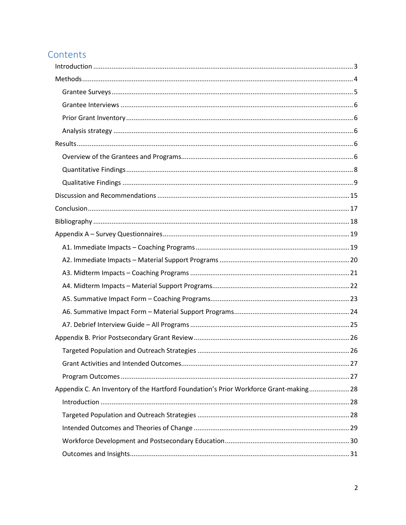# Contents

| Appendix C. An Inventory of the Hartford Foundation's Prior Workforce Grant-making 28 |  |
|---------------------------------------------------------------------------------------|--|
|                                                                                       |  |
|                                                                                       |  |
|                                                                                       |  |
|                                                                                       |  |
|                                                                                       |  |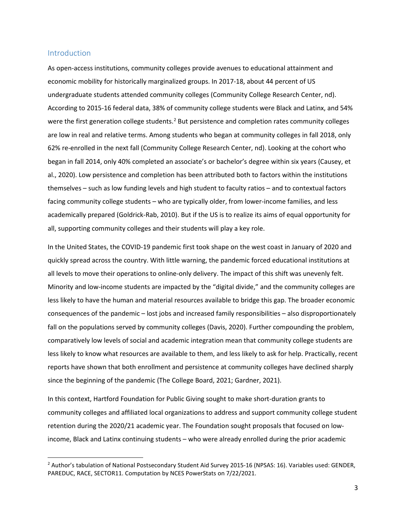#### <span id="page-2-0"></span>Introduction

As open-access institutions, community colleges provide avenues to educational attainment and economic mobility for historically marginalized groups. In 2017-18, about 44 percent of US undergraduate students attended community colleges (Community College Research Center, nd). According to 2015-16 federal data, 38% of community college students were Black and Latinx, and 54% were the first generation college students.<sup>[2](#page-2-1)</sup> But persistence and completion rates community colleges are low in real and relative terms. Among students who began at community colleges in fall 2018, only 62% re-enrolled in the next fall (Community College Research Center, nd). Looking at the cohort who began in fall 2014, only 40% completed an associate's or bachelor's degree within six years (Causey, et al., 2020). Low persistence and completion has been attributed both to factors within the institutions themselves – such as low funding levels and high student to faculty ratios – and to contextual factors facing community college students – who are typically older, from lower-income families, and less academically prepared (Goldrick-Rab, 2010). But if the US is to realize its aims of equal opportunity for all, supporting community colleges and their students will play a key role.

In the United States, the COVID-19 pandemic first took shape on the west coast in January of 2020 and quickly spread across the country. With little warning, the pandemic forced educational institutions at all levels to move their operations to online-only delivery. The impact of this shift was unevenly felt. Minority and low-income students are impacted by the "digital divide," and the community colleges are less likely to have the human and material resources available to bridge this gap. The broader economic consequences of the pandemic – lost jobs and increased family responsibilities – also disproportionately fall on the populations served by community colleges (Davis, 2020). Further compounding the problem, comparatively low levels of social and academic integration mean that community college students are less likely to know what resources are available to them, and less likely to ask for help. Practically, recent reports have shown that both enrollment and persistence at community colleges have declined sharply since the beginning of the pandemic (The College Board, 2021; Gardner, 2021).

In this context, Hartford Foundation for Public Giving sought to make short-duration grants to community colleges and affiliated local organizations to address and support community college student retention during the 2020/21 academic year. The Foundation sought proposals that focused on lowincome, Black and Latinx continuing students – who were already enrolled during the prior academic

<span id="page-2-1"></span><sup>2</sup> Author's tabulation of National Postsecondary Student Aid Survey 2015-16 (NPSAS: 16). Variables used: GENDER, PAREDUC, RACE, SECTOR11. Computation by NCES PowerStats on 7/22/2021.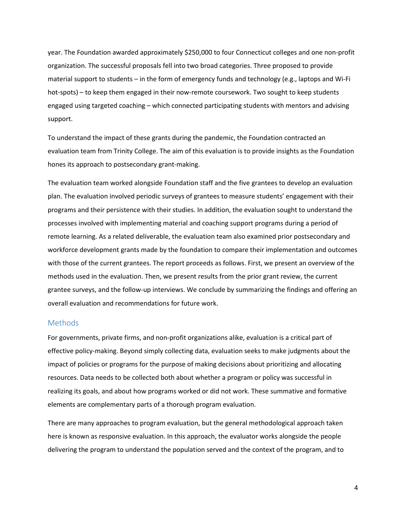year. The Foundation awarded approximately \$250,000 to four Connecticut colleges and one non-profit organization. The successful proposals fell into two broad categories. Three proposed to provide material support to students – in the form of emergency funds and technology (e.g., laptops and Wi-Fi hot-spots) – to keep them engaged in their now-remote coursework. Two sought to keep students engaged using targeted coaching – which connected participating students with mentors and advising support.

To understand the impact of these grants during the pandemic, the Foundation contracted an evaluation team from Trinity College. The aim of this evaluation is to provide insights as the Foundation hones its approach to postsecondary grant-making.

The evaluation team worked alongside Foundation staff and the five grantees to develop an evaluation plan. The evaluation involved periodic surveys of grantees to measure students' engagement with their programs and their persistence with their studies. In addition, the evaluation sought to understand the processes involved with implementing material and coaching support programs during a period of remote learning. As a related deliverable, the evaluation team also examined prior postsecondary and workforce development grants made by the foundation to compare their implementation and outcomes with those of the current grantees. The report proceeds as follows. First, we present an overview of the methods used in the evaluation. Then, we present results from the prior grant review, the current grantee surveys, and the follow-up interviews. We conclude by summarizing the findings and offering an overall evaluation and recommendations for future work.

#### <span id="page-3-0"></span>**Methods**

For governments, private firms, and non-profit organizations alike, evaluation is a critical part of effective policy-making. Beyond simply collecting data, evaluation seeks to make judgments about the impact of policies or programs for the purpose of making decisions about prioritizing and allocating resources. Data needs to be collected both about whether a program or policy was successful in realizing its goals, and about how programs worked or did not work. These summative and formative elements are complementary parts of a thorough program evaluation.

There are many approaches to program evaluation, but the general methodological approach taken here is known as responsive evaluation. In this approach, the evaluator works alongside the people delivering the program to understand the population served and the context of the program, and to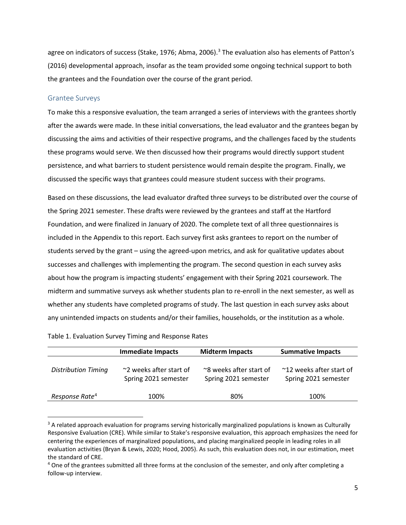agree on indicators of success (Stake, 1976; Abma, 2006).<sup>[3](#page-4-1)</sup> The evaluation also has elements of Patton's (2016) developmental approach, insofar as the team provided some ongoing technical support to both the grantees and the Foundation over the course of the grant period.

#### <span id="page-4-0"></span>Grantee Surveys

To make this a responsive evaluation, the team arranged a series of interviews with the grantees shortly after the awards were made. In these initial conversations, the lead evaluator and the grantees began by discussing the aims and activities of their respective programs, and the challenges faced by the students these programs would serve. We then discussed how their programs would directly support student persistence, and what barriers to student persistence would remain despite the program. Finally, we discussed the specific ways that grantees could measure student success with their programs.

Based on these discussions, the lead evaluator drafted three surveys to be distributed over the course of the Spring 2021 semester. These drafts were reviewed by the grantees and staff at the Hartford Foundation, and were finalized in January of 2020. The complete text of all three questionnaires is included in the Appendix to this report. Each survey first asks grantees to report on the number of students served by the grant – using the agreed-upon metrics, and ask for qualitative updates about successes and challenges with implementing the program. The second question in each survey asks about how the program is impacting students' engagement with their Spring 2021 coursework. The midterm and summative surveys ask whether students plan to re-enroll in the next semester, as well as whether any students have completed programs of study. The last question in each survey asks about any unintended impacts on students and/or their families, households, or the institution as a whole.

|                            | <b>Immediate Impacts</b><br><b>Midterm Impacts</b> |                                                 | <b>Summative Impacts</b>                         |  |
|----------------------------|----------------------------------------------------|-------------------------------------------------|--------------------------------------------------|--|
| <b>Distribution Timing</b> | ~2 weeks after start of<br>Spring 2021 semester    | ~8 weeks after start of<br>Spring 2021 semester | ~12 weeks after start of<br>Spring 2021 semester |  |
| Response Rate <sup>4</sup> | 100%                                               | 80%                                             | 100%                                             |  |

Table 1. Evaluation Survey Timing and Response Rates

<span id="page-4-1"></span> $3$  A related approach evaluation for programs serving historically marginalized populations is known as Culturally Responsive Evaluation (CRE). While similar to Stake's responsive evaluation, this approach emphasizes the need for centering the experiences of marginalized populations, and placing marginalized people in leading roles in all evaluation activities (Bryan & Lewis, 2020; Hood, 2005). As such, this evaluation does not, in our estimation, meet the standard of CRE.

<span id="page-4-2"></span><sup>&</sup>lt;sup>4</sup> One of the grantees submitted all three forms at the conclusion of the semester, and only after completing a follow-up interview.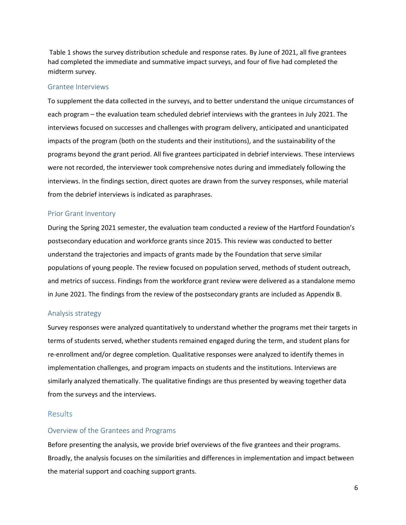Table 1 shows the survey distribution schedule and response rates. By June of 2021, all five grantees had completed the immediate and summative impact surveys, and four of five had completed the midterm survey.

#### <span id="page-5-0"></span>Grantee Interviews

To supplement the data collected in the surveys, and to better understand the unique circumstances of each program – the evaluation team scheduled debrief interviews with the grantees in July 2021. The interviews focused on successes and challenges with program delivery, anticipated and unanticipated impacts of the program (both on the students and their institutions), and the sustainability of the programs beyond the grant period. All five grantees participated in debrief interviews. These interviews were not recorded, the interviewer took comprehensive notes during and immediately following the interviews. In the findings section, direct quotes are drawn from the survey responses, while material from the debrief interviews is indicated as paraphrases.

#### <span id="page-5-1"></span>Prior Grant Inventory

During the Spring 2021 semester, the evaluation team conducted a review of the Hartford Foundation's postsecondary education and workforce grants since 2015. This review was conducted to better understand the trajectories and impacts of grants made by the Foundation that serve similar populations of young people. The review focused on population served, methods of student outreach, and metrics of success. Findings from the workforce grant review were delivered as a standalone memo in June 2021. The findings from the review of the postsecondary grants are included as Appendix B.

#### <span id="page-5-2"></span>Analysis strategy

Survey responses were analyzed quantitatively to understand whether the programs met their targets in terms of students served, whether students remained engaged during the term, and student plans for re-enrollment and/or degree completion. Qualitative responses were analyzed to identify themes in implementation challenges, and program impacts on students and the institutions. Interviews are similarly analyzed thematically. The qualitative findings are thus presented by weaving together data from the surveys and the interviews.

#### <span id="page-5-3"></span>Results

#### <span id="page-5-4"></span>Overview of the Grantees and Programs

Before presenting the analysis, we provide brief overviews of the five grantees and their programs. Broadly, the analysis focuses on the similarities and differences in implementation and impact between the material support and coaching support grants.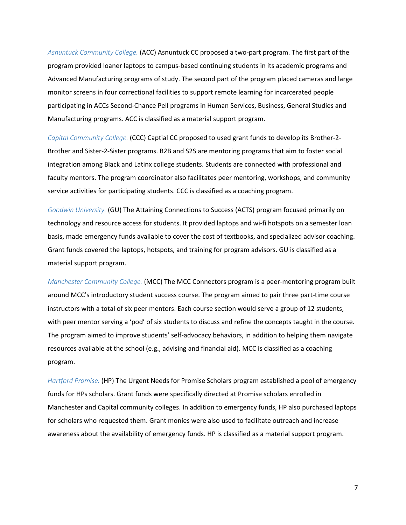*Asnuntuck Community College.* (ACC) Asnuntuck CC proposed a two-part program. The first part of the program provided loaner laptops to campus-based continuing students in its academic programs and Advanced Manufacturing programs of study. The second part of the program placed cameras and large monitor screens in four correctional facilities to support remote learning for incarcerated people participating in ACCs Second-Chance Pell programs in Human Services, Business, General Studies and Manufacturing programs. ACC is classified as a material support program.

*Capital Community College.* (CCC) Captial CC proposed to used grant funds to develop its Brother-2- Brother and Sister-2-Sister programs. B2B and S2S are mentoring programs that aim to foster social integration among Black and Latinx college students. Students are connected with professional and faculty mentors. The program coordinator also facilitates peer mentoring, workshops, and community service activities for participating students. CCC is classified as a coaching program.

*Goodwin University.* (GU) The Attaining Connections to Success (ACTS) program focused primarily on technology and resource access for students. It provided laptops and wi-fi hotspots on a semester loan basis, made emergency funds available to cover the cost of textbooks, and specialized advisor coaching. Grant funds covered the laptops, hotspots, and training for program advisors. GU is classified as a material support program.

*Manchester Community College.* (MCC) The MCC Connectors program is a peer-mentoring program built around MCC's introductory student success course. The program aimed to pair three part-time course instructors with a total of six peer mentors. Each course section would serve a group of 12 students, with peer mentor serving a 'pod' of six students to discuss and refine the concepts taught in the course. The program aimed to improve students' self-advocacy behaviors, in addition to helping them navigate resources available at the school (e.g., advising and financial aid). MCC is classified as a coaching program.

*Hartford Promise.* (HP) The Urgent Needs for Promise Scholars program established a pool of emergency funds for HPs scholars. Grant funds were specifically directed at Promise scholars enrolled in Manchester and Capital community colleges. In addition to emergency funds, HP also purchased laptops for scholars who requested them. Grant monies were also used to facilitate outreach and increase awareness about the availability of emergency funds. HP is classified as a material support program.

7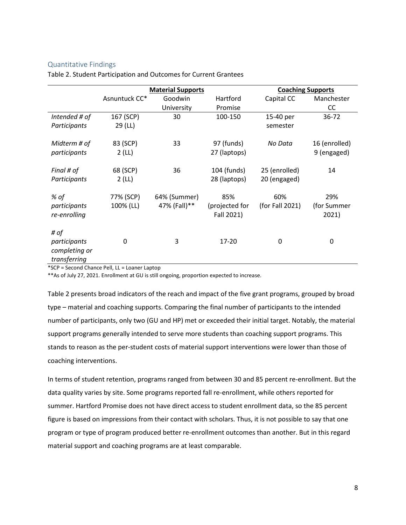#### <span id="page-7-0"></span>Quantitative Findings

|                                                       | <b>Material Supports</b> |                              |                                     | <b>Coaching Supports</b>      |                              |
|-------------------------------------------------------|--------------------------|------------------------------|-------------------------------------|-------------------------------|------------------------------|
|                                                       | Asnuntuck CC*            | Goodwin                      | Hartford                            | Capital CC                    | Manchester                   |
|                                                       |                          | University                   | Promise                             |                               | CC.                          |
| Intended # of                                         | 167 (SCP)                | 30                           | 100-150                             | 15-40 per                     | 36-72                        |
| Participants                                          | 29 (LL)                  |                              |                                     | semester                      |                              |
| Midterm # of<br>participants                          | 83 (SCP)<br>2(L)         | 33                           | 97 (funds)<br>27 (laptops)          | No Data                       | 16 (enrolled)<br>9 (engaged) |
| Final # of<br>Participants                            | 68 (SCP)<br>2(LL)        | 36                           | 104 (funds)<br>28 (laptops)         | 25 (enrolled)<br>20 (engaged) | 14                           |
| % of<br>participants<br>re-enrolling                  | 77% (SCP)<br>100% (LL)   | 64% (Summer)<br>47% (Fall)** | 85%<br>(projected for<br>Fall 2021) | 60%<br>(for Fall 2021)        | 29%<br>(for Summer<br>2021)  |
| # of<br>participants<br>completing or<br>transferring | 0                        | 3                            | $17 - 20$                           | 0                             | 0                            |

Table 2. Student Participation and Outcomes for Current Grantees

\*SCP = Second Chance Pell, LL = Loaner Laptop

\*\*As of July 27, 2021. Enrollment at GU is still ongoing, proportion expected to increase.

Table 2 presents broad indicators of the reach and impact of the five grant programs, grouped by broad type – material and coaching supports. Comparing the final number of participants to the intended number of participants, only two (GU and HP) met or exceeded their initial target. Notably, the material support programs generally intended to serve more students than coaching support programs. This stands to reason as the per-student costs of material support interventions were lower than those of coaching interventions.

In terms of student retention, programs ranged from between 30 and 85 percent re-enrollment. But the data quality varies by site. Some programs reported fall re-enrollment, while others reported for summer. Hartford Promise does not have direct access to student enrollment data, so the 85 percent figure is based on impressions from their contact with scholars. Thus, it is not possible to say that one program or type of program produced better re-enrollment outcomes than another. But in this regard material support and coaching programs are at least comparable.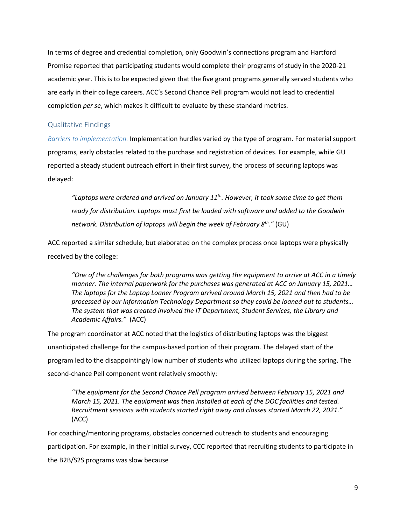In terms of degree and credential completion, only Goodwin's connections program and Hartford Promise reported that participating students would complete their programs of study in the 2020-21 academic year. This is to be expected given that the five grant programs generally served students who are early in their college careers. ACC's Second Chance Pell program would not lead to credential completion *per se*, which makes it difficult to evaluate by these standard metrics.

#### <span id="page-8-0"></span>Qualitative Findings

*Barriers to implementation.* Implementation hurdles varied by the type of program. For material support programs, early obstacles related to the purchase and registration of devices. For example, while GU reported a steady student outreach effort in their first survey, the process of securing laptops was delayed:

*"Laptops were ordered and arrived on January 11th. However, it took some time to get them ready for distribution. Laptops must first be loaded with software and added to the Goodwin network. Distribution of laptops will begin the week of February 8th."* (GU)

ACC reported a similar schedule, but elaborated on the complex process once laptops were physically received by the college:

*"One of the challenges for both programs was getting the equipment to arrive at ACC in a timely manner. The internal paperwork for the purchases was generated at ACC on January 15, 2021… The laptops for the Laptop Loaner Program arrived around March 15, 2021 and then had to be processed by our Information Technology Department so they could be loaned out to students… The system that was created involved the IT Department, Student Services, the Library and Academic Affairs."* (ACC)

The program coordinator at ACC noted that the logistics of distributing laptops was the biggest unanticipated challenge for the campus-based portion of their program. The delayed start of the program led to the disappointingly low number of students who utilized laptops during the spring. The second-chance Pell component went relatively smoothly:

*"The equipment for the Second Chance Pell program arrived between February 15, 2021 and March 15, 2021. The equipment was then installed at each of the DOC facilities and tested. Recruitment sessions with students started right away and classes started March 22, 2021."*  (ACC)

For coaching/mentoring programs, obstacles concerned outreach to students and encouraging participation. For example, in their initial survey, CCC reported that recruiting students to participate in the B2B/S2S programs was slow because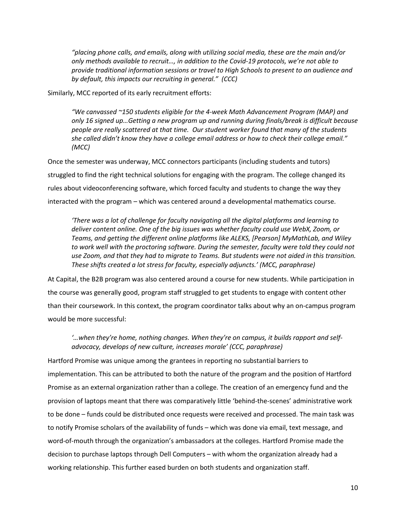*"placing phone calls, and emails, along with utilizing social media, these are the main and/or only methods available to recruit…, in addition to the Covid-19 protocols, we're not able to provide traditional information sessions or travel to High Schools to present to an audience and by default, this impacts our recruiting in general." (CCC)*

Similarly, MCC reported of its early recruitment efforts:

*"We canvassed ~150 students eligible for the 4-week Math Advancement Program (MAP) and only 16 signed up…Getting a new program up and running during finals/break is difficult because people are really scattered at that time. Our student worker found that many of the students she called didn't know they have a college email address or how to check their college email." (MCC)*

Once the semester was underway, MCC connectors participants (including students and tutors) struggled to find the right technical solutions for engaging with the program. The college changed its rules about videoconferencing software, which forced faculty and students to change the way they interacted with the program – which was centered around a developmental mathematics course.

*'There was a lot of challenge for faculty navigating all the digital platforms and learning to deliver content online. One of the big issues was whether faculty could use WebX, Zoom, or Teams, and getting the different online platforms like ALEKS, [Pearson] MyMathLab, and Wiley to work well with the proctoring software. During the semester, faculty were told they could not use Zoom, and that they had to migrate to Teams. But students were not aided in this transition. These shifts created a lot stress for faculty, especially adjuncts.' (MCC, paraphrase)*

At Capital, the B2B program was also centered around a course for new students. While participation in the course was generally good, program staff struggled to get students to engage with content other than their coursework. In this context, the program coordinator talks about why an on-campus program would be more successful:

*'…when they're home, nothing changes. When they're on campus, it builds rapport and selfadvocacy, develops of new culture, increases morale' (CCC, paraphrase)*

Hartford Promise was unique among the grantees in reporting no substantial barriers to implementation. This can be attributed to both the nature of the program and the position of Hartford Promise as an external organization rather than a college. The creation of an emergency fund and the provision of laptops meant that there was comparatively little 'behind-the-scenes' administrative work to be done – funds could be distributed once requests were received and processed. The main task was to notify Promise scholars of the availability of funds – which was done via email, text message, and word-of-mouth through the organization's ambassadors at the colleges. Hartford Promise made the decision to purchase laptops through Dell Computers – with whom the organization already had a working relationship. This further eased burden on both students and organization staff.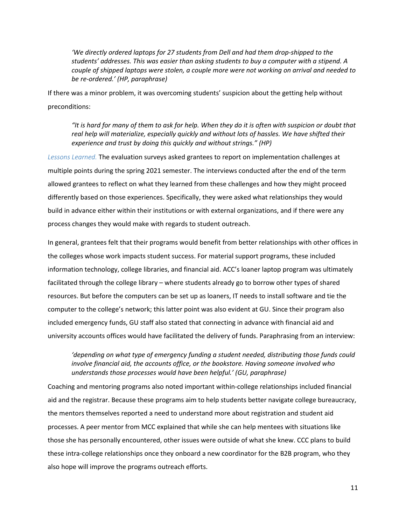*'We directly ordered laptops for 27 students from Dell and had them drop-shipped to the students' addresses. This was easier than asking students to buy a computer with a stipend. A couple of shipped laptops were stolen, a couple more were not working on arrival and needed to be re-ordered.' (HP, paraphrase)*

If there was a minor problem, it was overcoming students' suspicion about the getting help without preconditions:

*"It is hard for many of them to ask for help. When they do it is often with suspicion or doubt that real help will materialize, especially quickly and without lots of hassles. We have shifted their experience and trust by doing this quickly and without strings." (HP)*

*Lessons Learned.* The evaluation surveys asked grantees to report on implementation challenges at multiple points during the spring 2021 semester. The interviews conducted after the end of the term allowed grantees to reflect on what they learned from these challenges and how they might proceed differently based on those experiences. Specifically, they were asked what relationships they would build in advance either within their institutions or with external organizations, and if there were any process changes they would make with regards to student outreach.

In general, grantees felt that their programs would benefit from better relationships with other offices in the colleges whose work impacts student success. For material support programs, these included information technology, college libraries, and financial aid. ACC's loaner laptop program was ultimately facilitated through the college library – where students already go to borrow other types of shared resources. But before the computers can be set up as loaners, IT needs to install software and tie the computer to the college's network; this latter point was also evident at GU. Since their program also included emergency funds, GU staff also stated that connecting in advance with financial aid and university accounts offices would have facilitated the delivery of funds. Paraphrasing from an interview:

*'depending on what type of emergency funding a student needed, distributing those funds could involve financial aid, the accounts office, or the bookstore. Having someone involved who understands those processes would have been helpful.' (GU, paraphrase)*

Coaching and mentoring programs also noted important within-college relationships included financial aid and the registrar. Because these programs aim to help students better navigate college bureaucracy, the mentors themselves reported a need to understand more about registration and student aid processes. A peer mentor from MCC explained that while she can help mentees with situations like those she has personally encountered, other issues were outside of what she knew. CCC plans to build these intra-college relationships once they onboard a new coordinator for the B2B program, who they also hope will improve the programs outreach efforts.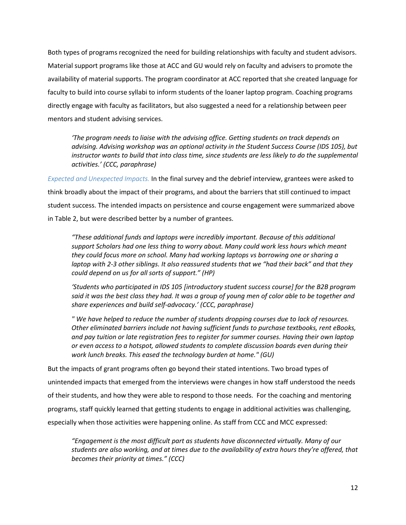Both types of programs recognized the need for building relationships with faculty and student advisors. Material support programs like those at ACC and GU would rely on faculty and advisers to promote the availability of material supports. The program coordinator at ACC reported that she created language for faculty to build into course syllabi to inform students of the loaner laptop program. Coaching programs directly engage with faculty as facilitators, but also suggested a need for a relationship between peer mentors and student advising services.

*'The program needs to liaise with the advising office. Getting students on track depends on advising. Advising workshop was an optional activity in the Student Success Course (IDS 105), but instructor wants to build that into class time, since students are less likely to do the supplemental activities.' (CCC, paraphrase)*

*Expected and Unexpected Impacts.* In the final survey and the debrief interview, grantees were asked to think broadly about the impact of their programs, and about the barriers that still continued to impact student success. The intended impacts on persistence and course engagement were summarized above in Table 2, but were described better by a number of grantees.

*"These additional funds and laptops were incredibly important. Because of this additional support Scholars had one less thing to worry about. Many could work less hours which meant they could focus more on school. Many had working laptops vs borrowing one or sharing a laptop with 2-3 other siblings. It also reassured students that we "had their back" and that they could depend on us for all sorts of support." (HP)*

*'Students who participated in IDS 105 [introductory student success course] for the B2B program said it was the best class they had. It was a group of young men of color able to be together and share experiences and build self-advocacy.' (CCC, paraphrase)*

*" We have helped to reduce the number of students dropping courses due to lack of resources. Other eliminated barriers include not having sufficient funds to purchase textbooks, rent eBooks, and pay tuition or late registration fees to register for summer courses. Having their own laptop or even access to a hotspot, allowed students to complete discussion boards even during their work lunch breaks. This eased the technology burden at home." (GU)*

But the impacts of grant programs often go beyond their stated intentions. Two broad types of unintended impacts that emerged from the interviews were changes in how staff understood the needs of their students, and how they were able to respond to those needs. For the coaching and mentoring programs, staff quickly learned that getting students to engage in additional activities was challenging, especially when those activities were happening online. As staff from CCC and MCC expressed:

*"Engagement is the most difficult part as students have disconnected virtually. Many of our students are also working, and at times due to the availability of extra hours they're offered, that becomes their priority at times." (CCC)*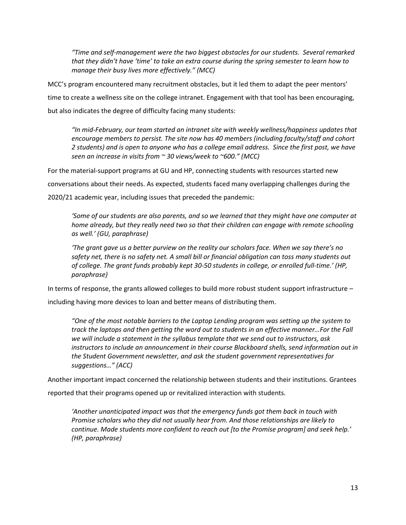*"Time and self-management were the two biggest obstacles for our students. Several remarked that they didn't have 'time' to take an extra course during the spring semester to learn how to manage their busy lives more effectively." (MCC)*

MCC's program encountered many recruitment obstacles, but it led them to adapt the peer mentors' time to create a wellness site on the college intranet. Engagement with that tool has been encouraging, but also indicates the degree of difficulty facing many students:

*"In mid-February, our team started an intranet site with weekly wellness/happiness updates that encourage members to persist. The site now has 40 members (including faculty/staff and cohort 2 students) and is open to anyone who has a college email address. Since the first post, we have seen an increase in visits from ~ 30 views/week to ~600." (MCC)*

For the material-support programs at GU and HP, connecting students with resources started new

conversations about their needs. As expected, students faced many overlapping challenges during the

2020/21 academic year, including issues that preceded the pandemic:

*'Some of our students are also parents, and so we learned that they might have one computer at home already, but they really need two so that their children can engage with remote schooling as well.' (GU, paraphrase)*

*'The grant gave us a better purview on the reality our scholars face. When we say there's no safety net, there is no safety net. A small bill or financial obligation can toss many students out of college. The grant funds probably kept 30-50 students in college, or enrolled full-time.' (HP, paraphrase)*

In terms of response, the grants allowed colleges to build more robust student support infrastructure –

including having more devices to loan and better means of distributing them.

*"One of the most notable barriers to the Laptop Lending program was setting up the system to track the laptops and then getting the word out to students in an effective manner…For the Fall we will include a statement in the syllabus template that we send out to instructors, ask instructors to include an announcement in their course Blackboard shells, send information out in the Student Government newsletter, and ask the student government representatives for suggestions…" (ACC)*

Another important impact concerned the relationship between students and their institutions. Grantees

reported that their programs opened up or revitalized interaction with students.

*'Another unanticipated impact was that the emergency funds got them back in touch with Promise scholars who they did not usually hear from. And those relationships are likely to continue. Made students more confident to reach out [to the Promise program] and seek help.' (HP, paraphrase)*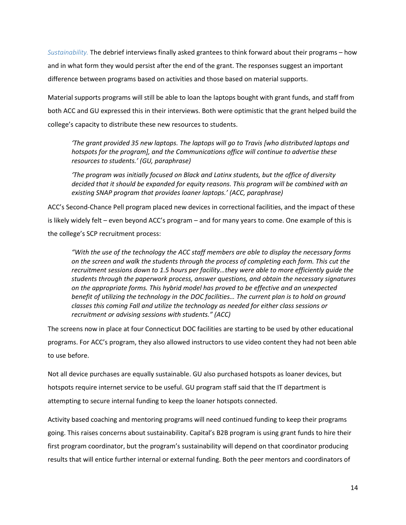*Sustainability.* The debrief interviews finally asked grantees to think forward about their programs – how and in what form they would persist after the end of the grant. The responses suggest an important difference between programs based on activities and those based on material supports.

Material supports programs will still be able to loan the laptops bought with grant funds, and staff from both ACC and GU expressed this in their interviews. Both were optimistic that the grant helped build the college's capacity to distribute these new resources to students.

*'The grant provided 35 new laptops. The laptops will go to Travis [who distributed laptops and hotspots for the program], and the Communications office will continue to advertise these resources to students.' (GU, paraphrase)*

*'The program was initially focused on Black and Latinx students, but the office of diversity decided that it should be expanded for equity reasons. This program will be combined with an existing SNAP program that provides loaner laptops.' (ACC, paraphrase)*

ACC's Second-Chance Pell program placed new devices in correctional facilities, and the impact of these is likely widely felt – even beyond ACC's program – and for many years to come. One example of this is the college's SCP recruitment process:

*"With the use of the technology the ACC staff members are able to display the necessary forms on the screen and walk the students through the process of completing each form. This cut the recruitment sessions down to 1.5 hours per facility…they were able to more efficiently guide the students through the paperwork process, answer questions, and obtain the necessary signatures on the appropriate forms. This hybrid model has proved to be effective and an unexpected benefit of utilizing the technology in the DOC facilities… The current plan is to hold on ground classes this coming Fall and utilize the technology as needed for either class sessions or recruitment or advising sessions with students." (ACC)*

The screens now in place at four Connecticut DOC facilities are starting to be used by other educational programs. For ACC's program, they also allowed instructors to use video content they had not been able to use before.

Not all device purchases are equally sustainable. GU also purchased hotspots as loaner devices, but hotspots require internet service to be useful. GU program staff said that the IT department is attempting to secure internal funding to keep the loaner hotspots connected.

Activity based coaching and mentoring programs will need continued funding to keep their programs going. This raises concerns about sustainability. Capital's B2B program is using grant funds to hire their first program coordinator, but the program's sustainability will depend on that coordinator producing results that will entice further internal or external funding. Both the peer mentors and coordinators of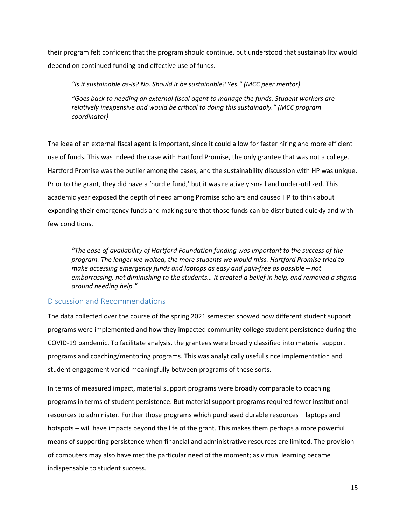their program felt confident that the program should continue, but understood that sustainability would depend on continued funding and effective use of funds.

*"Is it sustainable as-is? No. Should it be sustainable? Yes." (MCC peer mentor)*

*"Goes back to needing an external fiscal agent to manage the funds. Student workers are relatively inexpensive and would be critical to doing this sustainably." (MCC program coordinator)*

The idea of an external fiscal agent is important, since it could allow for faster hiring and more efficient use of funds. This was indeed the case with Hartford Promise, the only grantee that was not a college. Hartford Promise was the outlier among the cases, and the sustainability discussion with HP was unique. Prior to the grant, they did have a 'hurdle fund,' but it was relatively small and under-utilized. This academic year exposed the depth of need among Promise scholars and caused HP to think about expanding their emergency funds and making sure that those funds can be distributed quickly and with few conditions.

*"The ease of availability of Hartford Foundation funding was important to the success of the program. The longer we waited, the more students we would miss. Hartford Promise tried to make accessing emergency funds and laptops as easy and pain-free as possible – not embarrassing, not diminishing to the students… It created a belief in help, and removed a stigma around needing help."*

## <span id="page-14-0"></span>Discussion and Recommendations

The data collected over the course of the spring 2021 semester showed how different student support programs were implemented and how they impacted community college student persistence during the COVID-19 pandemic. To facilitate analysis, the grantees were broadly classified into material support programs and coaching/mentoring programs. This was analytically useful since implementation and student engagement varied meaningfully between programs of these sorts.

In terms of measured impact, material support programs were broadly comparable to coaching programs in terms of student persistence. But material support programs required fewer institutional resources to administer. Further those programs which purchased durable resources – laptops and hotspots – will have impacts beyond the life of the grant. This makes them perhaps a more powerful means of supporting persistence when financial and administrative resources are limited. The provision of computers may also have met the particular need of the moment; as virtual learning became indispensable to student success.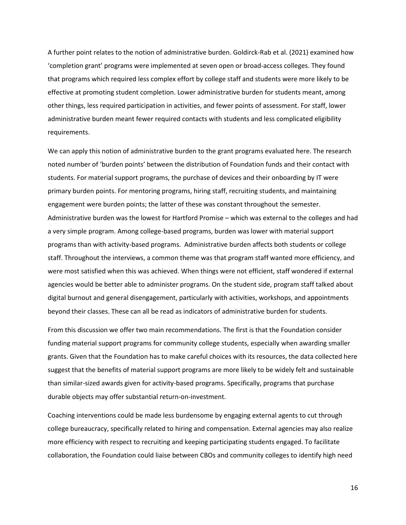A further point relates to the notion of administrative burden. Goldirck-Rab et al. (2021) examined how 'completion grant' programs were implemented at seven open or broad-access colleges. They found that programs which required less complex effort by college staff and students were more likely to be effective at promoting student completion. Lower administrative burden for students meant, among other things, less required participation in activities, and fewer points of assessment. For staff, lower administrative burden meant fewer required contacts with students and less complicated eligibility requirements.

We can apply this notion of administrative burden to the grant programs evaluated here. The research noted number of 'burden points' between the distribution of Foundation funds and their contact with students. For material support programs, the purchase of devices and their onboarding by IT were primary burden points. For mentoring programs, hiring staff, recruiting students, and maintaining engagement were burden points; the latter of these was constant throughout the semester. Administrative burden was the lowest for Hartford Promise – which was external to the colleges and had a very simple program. Among college-based programs, burden was lower with material support programs than with activity-based programs. Administrative burden affects both students or college staff. Throughout the interviews, a common theme was that program staff wanted more efficiency, and were most satisfied when this was achieved. When things were not efficient, staff wondered if external agencies would be better able to administer programs. On the student side, program staff talked about digital burnout and general disengagement, particularly with activities, workshops, and appointments beyond their classes. These can all be read as indicators of administrative burden for students.

From this discussion we offer two main recommendations. The first is that the Foundation consider funding material support programs for community college students, especially when awarding smaller grants. Given that the Foundation has to make careful choices with its resources, the data collected here suggest that the benefits of material support programs are more likely to be widely felt and sustainable than similar-sized awards given for activity-based programs. Specifically, programs that purchase durable objects may offer substantial return-on-investment.

Coaching interventions could be made less burdensome by engaging external agents to cut through college bureaucracy, specifically related to hiring and compensation. External agencies may also realize more efficiency with respect to recruiting and keeping participating students engaged. To facilitate collaboration, the Foundation could liaise between CBOs and community colleges to identify high need

16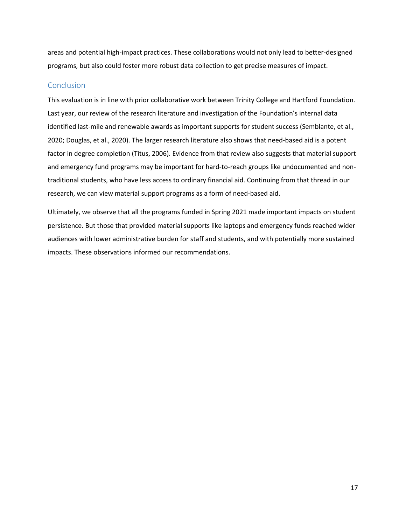areas and potential high-impact practices. These collaborations would not only lead to better-designed programs, but also could foster more robust data collection to get precise measures of impact.

#### <span id="page-16-0"></span>**Conclusion**

This evaluation is in line with prior collaborative work between Trinity College and Hartford Foundation. Last year, our review of the research literature and investigation of the Foundation's internal data identified last-mile and renewable awards as important supports for student success (Semblante, et al., 2020; Douglas, et al., 2020). The larger research literature also shows that need-based aid is a potent factor in degree completion (Titus, 2006). Evidence from that review also suggests that material support and emergency fund programs may be important for hard-to-reach groups like undocumented and nontraditional students, who have less access to ordinary financial aid. Continuing from that thread in our research, we can view material support programs as a form of need-based aid.

Ultimately, we observe that all the programs funded in Spring 2021 made important impacts on student persistence. But those that provided material supports like laptops and emergency funds reached wider audiences with lower administrative burden for staff and students, and with potentially more sustained impacts. These observations informed our recommendations.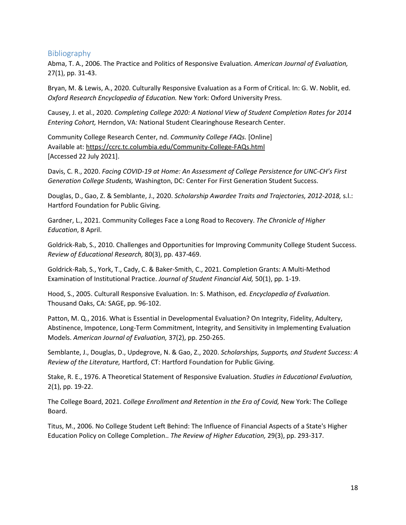## <span id="page-17-0"></span>Bibliography

Abma, T. A., 2006. The Practice and Politics of Responsive Evaluation. *American Journal of Evaluation,*  27(1), pp. 31-43.

Bryan, M. & Lewis, A., 2020. Culturally Responsive Evaluation as a Form of Critical. In: G. W. Noblit, ed. *Oxford Research Encyclopedia of Education.* New York: Oxford University Press.

Causey, J. et al., 2020. *Completing College 2020: A National View of Student Completion Rates for 2014 Entering Cohort,* Herndon, VA: National Student Clearinghouse Research Center.

Community College Research Center, nd. *Community College FAQs.* [Online] Available at: https://ccrc.tc.columbia.edu/Community-College-FAQs.html [Accessed 22 July 2021].

Davis, C. R., 2020. *Facing COVID-19 at Home: An Assessment of College Persistence for UNC-CH's First Generation College Students,* Washington, DC: Center For First Generation Student Success.

Douglas, D., Gao, Z. & Semblante, J., 2020. *Scholarship Awardee Traits and Trajectories, 2012-2018,* s.l.: Hartford Foundation for Public Giving.

Gardner, L., 2021. Community Colleges Face a Long Road to Recovery. *The Chronicle of Higher Education*, 8 April.

Goldrick-Rab, S., 2010. Challenges and Opportunities for Improving Community College Student Success. *Review of Educational Research,* 80(3), pp. 437-469.

Goldrick-Rab, S., York, T., Cady, C. & Baker-Smith, C., 2021. Completion Grants: A Multi-Method Examination of Institutional Practice. *Journal of Student Financial Aid,* 50(1), pp. 1-19.

Hood, S., 2005. Culturall Responsive Evaluation. In: S. Mathison, ed. *Encyclopedia of Evaluation.*  Thousand Oaks, CA: SAGE, pp. 96-102.

Patton, M. Q., 2016. What is Essential in Developmental Evaluation? On Integrity, Fidelity, Adultery, Abstinence, Impotence, Long-Term Commitment, Integrity, and Sensitivity in Implementing Evaluation Models. *American Journal of Evaluation,* 37(2), pp. 250-265.

Semblante, J., Douglas, D., Updegrove, N. & Gao, Z., 2020. *Scholarships, Supports, and Student Success: A Review of the Literature,* Hartford, CT: Hartford Foundation for Public Giving.

Stake, R. E., 1976. A Theoretical Statement of Responsive Evaluation. *Studies in Educational Evaluation,*  2(1), pp. 19-22.

The College Board, 2021. *College Enrollment and Retention in the Era of Covid,* New York: The College Board.

Titus, M., 2006. No College Student Left Behind: The Influence of Financial Aspects of a State's Higher Education Policy on College Completion.. *The Review of Higher Education,* 29(3), pp. 293-317.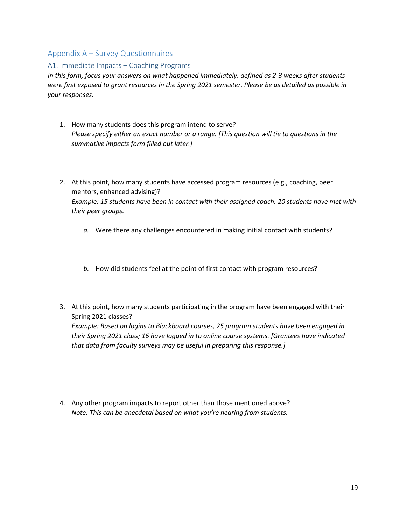## <span id="page-18-0"></span>Appendix A – Survey Questionnaires

#### <span id="page-18-1"></span>A1. Immediate Impacts – Coaching Programs

*In this form, focus your answers on what happened immediately, defined as 2-3 weeks after students were first exposed to grant resources in the Spring 2021 semester. Please be as detailed as possible in your responses.*

- 1. How many students does this program intend to serve? *Please specify either an exact number or a range. [This question will tie to questions in the summative impacts form filled out later.]*
- 2. At this point, how many students have accessed program resources (e.g., coaching, peer mentors, enhanced advising)? *Example: 15 students have been in contact with their assigned coach. 20 students have met with their peer groups.* 
	- *a.* Were there any challenges encountered in making initial contact with students?
	- *b.* How did students feel at the point of first contact with program resources?
- 3. At this point, how many students participating in the program have been engaged with their Spring 2021 classes? *Example: Based on logins to Blackboard courses, 25 program students have been engaged in their Spring 2021 class; 16 have logged in to online course systems. [Grantees have indicated that data from faculty surveys may be useful in preparing this response.]*
- 4. Any other program impacts to report other than those mentioned above? *Note: This can be anecdotal based on what you're hearing from students.*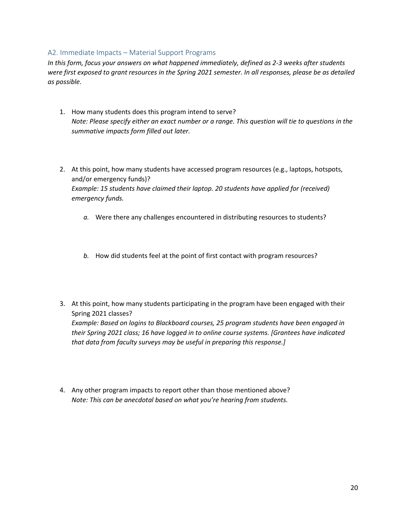#### <span id="page-19-0"></span>A2. Immediate Impacts – Material Support Programs

*In this form, focus your answers on what happened immediately, defined as 2-3 weeks after students were first exposed to grant resources in the Spring 2021 semester. In all responses, please be as detailed as possible.* 

- 1. How many students does this program intend to serve? *Note: Please specify either an exact number or a range. This question will tie to questions in the summative impacts form filled out later.*
- 2. At this point, how many students have accessed program resources (e.g., laptops, hotspots, and/or emergency funds)? *Example: 15 students have claimed their laptop. 20 students have applied for (received) emergency funds.* 
	- *a.* Were there any challenges encountered in distributing resources to students?
	- *b.* How did students feel at the point of first contact with program resources?
- 3. At this point, how many students participating in the program have been engaged with their Spring 2021 classes? *Example: Based on logins to Blackboard courses, 25 program students have been engaged in their Spring 2021 class; 16 have logged in to online course systems. [Grantees have indicated that data from faculty surveys may be useful in preparing this response.]*
- 4. Any other program impacts to report other than those mentioned above? *Note: This can be anecdotal based on what you're hearing from students.*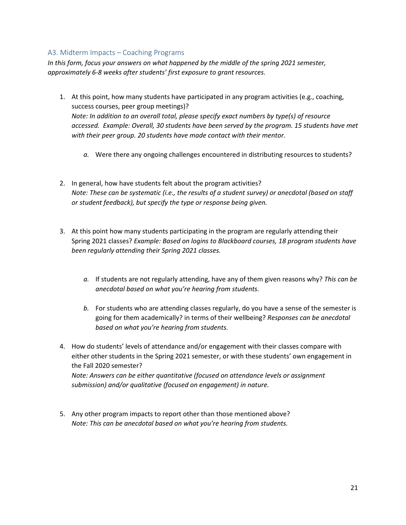## <span id="page-20-0"></span>A3. Midterm Impacts – Coaching Programs

*In this form, focus your answers on what happened by the middle of the spring 2021 semester, approximately 6-8 weeks after students' first exposure to grant resources.* 

- 1. At this point, how many students have participated in any program activities (e.g., coaching, success courses, peer group meetings)? *Note: In addition to an overall total, please specify exact numbers by type(s) of resource accessed. Example: Overall, 30 students have been served by the program. 15 students have met with their peer group. 20 students have made contact with their mentor.* 
	- *a.* Were there any ongoing challenges encountered in distributing resources to students?
- 2. In general, how have students felt about the program activities? *Note: These can be systematic (i.e., the results of a student survey) or anecdotal (based on staff or student feedback), but specify the type or response being given.*
- 3. At this point how many students participating in the program are regularly attending their Spring 2021 classes? *Example: Based on logins to Blackboard courses, 18 program students have been regularly attending their Spring 2021 classes.* 
	- *a.* If students are not regularly attending, have any of them given reasons why? *This can be anecdotal based on what you're hearing from students.*
	- *b.* For students who are attending classes regularly, do you have a sense of the semester is going for them academically? in terms of their wellbeing? *Responses can be anecdotal based on what you're hearing from students.*
- 4. How do students' levels of attendance and/or engagement with their classes compare with either other students in the Spring 2021 semester, or with these students' own engagement in the Fall 2020 semester? *Note: Answers can be either quantitative (focused on attendance levels or assignment submission) and/or qualitative (focused on engagement) in nature.*
- 5. Any other program impacts to report other than those mentioned above? *Note: This can be anecdotal based on what you're hearing from students.*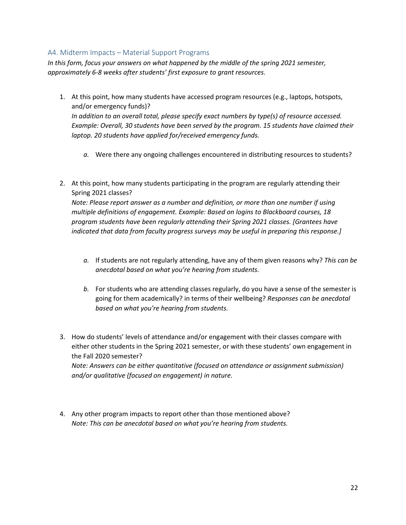#### <span id="page-21-0"></span>A4. Midterm Impacts – Material Support Programs

*In this form, focus your answers on what happened by the middle of the spring 2021 semester, approximately 6-8 weeks after students' first exposure to grant resources.* 

- 1. At this point, how many students have accessed program resources (e.g., laptops, hotspots, and/or emergency funds)? *In addition to an overall total, please specify exact numbers by type(s) of resource accessed. Example: Overall, 30 students have been served by the program. 15 students have claimed their laptop. 20 students have applied for/received emergency funds.* 
	- *a.* Were there any ongoing challenges encountered in distributing resources to students?
- 2. At this point, how many students participating in the program are regularly attending their Spring 2021 classes?

*Note: Please report answer as a number and definition, or more than one number if using multiple definitions of engagement. Example: Based on logins to Blackboard courses, 18 program students have been regularly attending their Spring 2021 classes. [Grantees have indicated that data from faculty progress surveys may be useful in preparing this response.]*

- *a.* If students are not regularly attending, have any of them given reasons why? *This can be anecdotal based on what you're hearing from students.*
- *b.* For students who are attending classes regularly, do you have a sense of the semester is going for them academically? in terms of their wellbeing? *Responses can be anecdotal based on what you're hearing from students.*
- 3. How do students' levels of attendance and/or engagement with their classes compare with either other students in the Spring 2021 semester, or with these students' own engagement in the Fall 2020 semester? *Note: Answers can be either quantitative (focused on attendance or assignment submission) and/or qualitative (focused on engagement) in nature.*
- 4. Any other program impacts to report other than those mentioned above? *Note: This can be anecdotal based on what you're hearing from students.*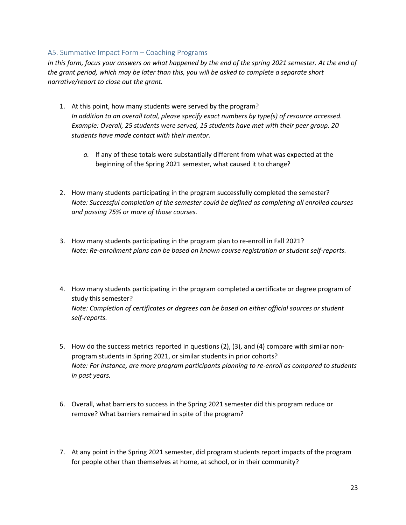## <span id="page-22-0"></span>A5. Summative Impact Form – Coaching Programs

In this form, focus your answers on what happened by the end of the spring 2021 semester. At the end of *the grant period, which may be later than this, you will be asked to complete a separate short narrative/report to close out the grant.* 

- 1. At this point, how many students were served by the program? *In addition to an overall total, please specify exact numbers by type(s) of resource accessed. Example: Overall, 25 students were served, 15 students have met with their peer group. 20 students have made contact with their mentor.* 
	- *a.* If any of these totals were substantially different from what was expected at the beginning of the Spring 2021 semester, what caused it to change?
- 2. How many students participating in the program successfully completed the semester? *Note: Successful completion of the semester could be defined as completing all enrolled courses and passing 75% or more of those courses.*
- 3. How many students participating in the program plan to re-enroll in Fall 2021? *Note: Re-enrollment plans can be based on known course registration or student self-reports.*
- 4. How many students participating in the program completed a certificate or degree program of study this semester? *Note: Completion of certificates or degrees can be based on either official sources or student self-reports.*
- 5. How do the success metrics reported in questions (2), (3), and (4) compare with similar nonprogram students in Spring 2021, or similar students in prior cohorts? *Note: For instance, are more program participants planning to re-enroll as compared to students in past years.*
- 6. Overall, what barriers to success in the Spring 2021 semester did this program reduce or remove? What barriers remained in spite of the program?
- 7. At any point in the Spring 2021 semester, did program students report impacts of the program for people other than themselves at home, at school, or in their community?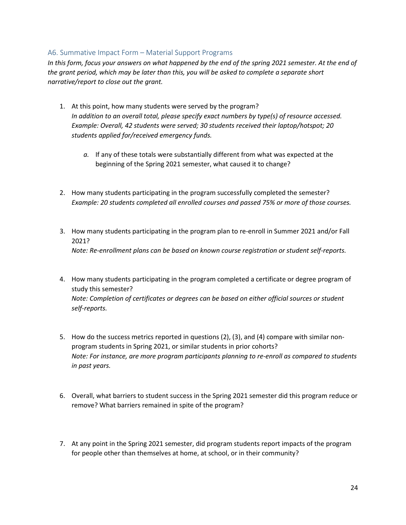## <span id="page-23-0"></span>A6. Summative Impact Form – Material Support Programs

In this form, focus your answers on what happened by the end of the spring 2021 semester. At the end of *the grant period, which may be later than this, you will be asked to complete a separate short narrative/report to close out the grant.* 

- 1. At this point, how many students were served by the program? *In addition to an overall total, please specify exact numbers by type(s) of resource accessed. Example: Overall, 42 students were served; 30 students received their laptop/hotspot; 20 students applied for/received emergency funds.* 
	- *a.* If any of these totals were substantially different from what was expected at the beginning of the Spring 2021 semester, what caused it to change?
- 2. How many students participating in the program successfully completed the semester? *Example: 20 students completed all enrolled courses and passed 75% or more of those courses.*
- 3. How many students participating in the program plan to re-enroll in Summer 2021 and/or Fall 2021? *Note: Re-enrollment plans can be based on known course registration or student self-reports.*
- 4. How many students participating in the program completed a certificate or degree program of study this semester? *Note: Completion of certificates or degrees can be based on either official sources or student self-reports.*
- 5. How do the success metrics reported in questions (2), (3), and (4) compare with similar nonprogram students in Spring 2021, or similar students in prior cohorts? *Note: For instance, are more program participants planning to re-enroll as compared to students in past years.*
- 6. Overall, what barriers to student success in the Spring 2021 semester did this program reduce or remove? What barriers remained in spite of the program?
- 7. At any point in the Spring 2021 semester, did program students report impacts of the program for people other than themselves at home, at school, or in their community?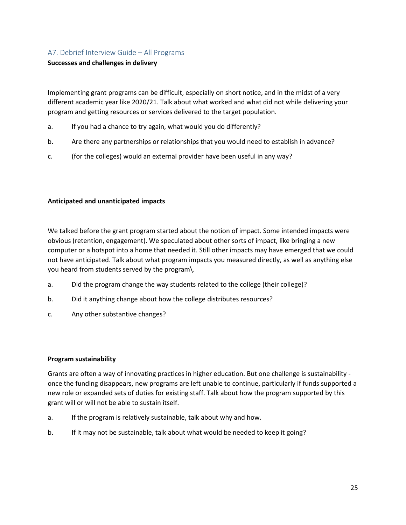## <span id="page-24-0"></span>A7. Debrief Interview Guide – All Programs

#### **Successes and challenges in delivery**

Implementing grant programs can be difficult, especially on short notice, and in the midst of a very different academic year like 2020/21. Talk about what worked and what did not while delivering your program and getting resources or services delivered to the target population.

- a. If you had a chance to try again, what would you do differently?
- b. Are there any partnerships or relationships that you would need to establish in advance?
- c. (for the colleges) would an external provider have been useful in any way?

#### **Anticipated and unanticipated impacts**

We talked before the grant program started about the notion of impact. Some intended impacts were obvious (retention, engagement). We speculated about other sorts of impact, like bringing a new computer or a hotspot into a home that needed it. Still other impacts may have emerged that we could not have anticipated. Talk about what program impacts you measured directly, as well as anything else you heard from students served by the program\.

- a. Did the program change the way students related to the college (their college)?
- b. Did it anything change about how the college distributes resources?
- c. Any other substantive changes?

#### **Program sustainability**

Grants are often a way of innovating practices in higher education. But one challenge is sustainability once the funding disappears, new programs are left unable to continue, particularly if funds supported a new role or expanded sets of duties for existing staff. Talk about how the program supported by this grant will or will not be able to sustain itself.

- a. If the program is relatively sustainable, talk about why and how.
- b. If it may not be sustainable, talk about what would be needed to keep it going?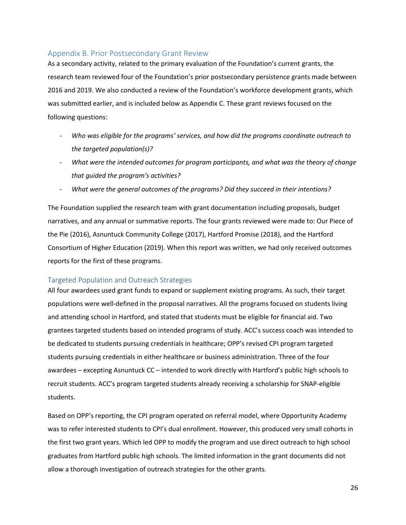## <span id="page-25-0"></span>Appendix B. Prior Postsecondary Grant Review

As a secondary activity, related to the primary evaluation of the Foundation's current grants, the research team reviewed four of the Foundation's prior postsecondary persistence grants made between 2016 and 2019. We also conducted a review of the Foundation's workforce development grants, which was submitted earlier, and is included below as Appendix C. These grant reviews focused on the following questions:

- *Who was eligible for the programs' services, and how did the programs coordinate outreach to the targeted population(s)?*
- *What were the intended outcomes for program participants, and what was the theory of change that guided the program's activities?*
- *What were the general outcomes of the programs? Did they succeed in their intentions?*

The Foundation supplied the research team with grant documentation including proposals, budget narratives, and any annual or summative reports. The four grants reviewed were made to: Our Piece of the Pie (2016), Asnuntuck Community College (2017), Hartford Promise (2018), and the Hartford Consortium of Higher Education (2019). When this report was written, we had only received outcomes reports for the first of these programs.

## <span id="page-25-1"></span>Targeted Population and Outreach Strategies

All four awardees used grant funds to expand or supplement existing programs. As such, their target populations were well-defined in the proposal narratives. All the programs focused on students living and attending school in Hartford, and stated that students must be eligible for financial aid. Two grantees targeted students based on intended programs of study. ACC's success coach was intended to be dedicated to students pursuing credentials in healthcare; OPP's revised CPI program targeted students pursuing credentials in either healthcare or business administration. Three of the four awardees – excepting Asnuntuck CC – intended to work directly with Hartford's public high schools to recruit students. ACC's program targeted students already receiving a scholarship for SNAP-eligible students.

Based on OPP's reporting, the CPI program operated on referral model, where Opportunity Academy was to refer interested students to CPI's dual enrollment. However, this produced very small cohorts in the first two grant years. Which led OPP to modify the program and use direct outreach to high school graduates from Hartford public high schools. The limited information in the grant documents did not allow a thorough investigation of outreach strategies for the other grants.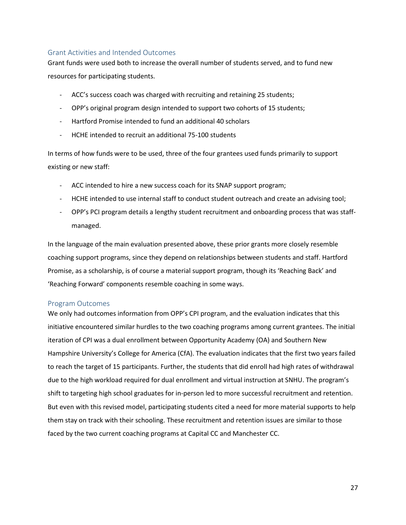#### <span id="page-26-0"></span>Grant Activities and Intended Outcomes

Grant funds were used both to increase the overall number of students served, and to fund new resources for participating students.

- ACC's success coach was charged with recruiting and retaining 25 students;
- OPP's original program design intended to support two cohorts of 15 students;
- Hartford Promise intended to fund an additional 40 scholars
- HCHE intended to recruit an additional 75-100 students

In terms of how funds were to be used, three of the four grantees used funds primarily to support existing or new staff:

- ACC intended to hire a new success coach for its SNAP support program;
- HCHE intended to use internal staff to conduct student outreach and create an advising tool;
- OPP's PCI program details a lengthy student recruitment and onboarding process that was staffmanaged.

In the language of the main evaluation presented above, these prior grants more closely resemble coaching support programs, since they depend on relationships between students and staff. Hartford Promise, as a scholarship, is of course a material support program, though its 'Reaching Back' and 'Reaching Forward' components resemble coaching in some ways.

#### <span id="page-26-1"></span>Program Outcomes

We only had outcomes information from OPP's CPI program, and the evaluation indicates that this initiative encountered similar hurdles to the two coaching programs among current grantees. The initial iteration of CPI was a dual enrollment between Opportunity Academy (OA) and Southern New Hampshire University's College for America (CfA). The evaluation indicates that the first two years failed to reach the target of 15 participants. Further, the students that did enroll had high rates of withdrawal due to the high workload required for dual enrollment and virtual instruction at SNHU. The program's shift to targeting high school graduates for in-person led to more successful recruitment and retention. But even with this revised model, participating students cited a need for more material supports to help them stay on track with their schooling. These recruitment and retention issues are similar to those faced by the two current coaching programs at Capital CC and Manchester CC.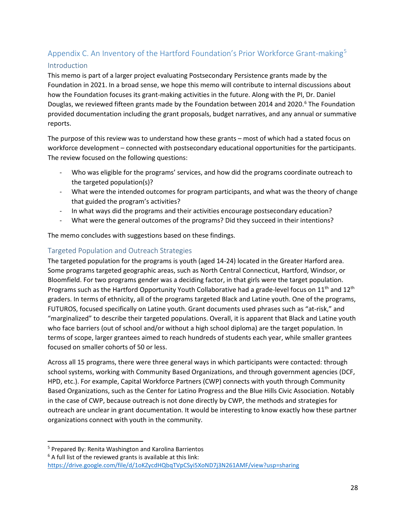## <span id="page-27-1"></span><span id="page-27-0"></span>Appendix C. An Inventory of the Hartford Foundation's Prior Workforce Grant-making<sup>[5](#page-27-3)</sup> Introduction

This memo is part of a larger project evaluating Postsecondary Persistence grants made by the Foundation in 2021. In a broad sense, we hope this memo will contribute to internal discussions about how the Foundation focuses its grant-making activities in the future. Along with the PI, Dr. Daniel Douglas, we reviewed fifteen grants made by the Foundation between 2014 and 2020.<sup>[6](#page-27-4)</sup> The Foundation provided documentation including the grant proposals, budget narratives, and any annual or summative reports.

The purpose of this review was to understand how these grants – most of which had a stated focus on workforce development – connected with postsecondary educational opportunities for the participants. The review focused on the following questions:

- Who was eligible for the programs' services, and how did the programs coordinate outreach to the targeted population(s)?
- What were the intended outcomes for program participants, and what was the theory of change that guided the program's activities?
- In what ways did the programs and their activities encourage postsecondary education?
- What were the general outcomes of the programs? Did they succeed in their intentions?

The memo concludes with suggestions based on these findings.

## <span id="page-27-2"></span>Targeted Population and Outreach Strategies

The targeted population for the programs is youth (aged 14-24) located in the Greater Harford area. Some programs targeted geographic areas, such as North Central Connecticut, Hartford, Windsor, or Bloomfield. For two programs gender was a deciding factor, in that girls were the target population. Programs such as the Hartford Opportunity Youth Collaborative had a grade-level focus on  $11<sup>th</sup>$  and  $12<sup>th</sup>$ graders. In terms of ethnicity, all of the programs targeted Black and Latine youth. One of the programs, FUTUROS, focused specifically on Latine youth. Grant documents used phrases such as "at-risk," and "marginalized" to describe their targeted populations. Overall, it is apparent that Black and Latine youth who face barriers (out of school and/or without a high school diploma) are the target population. In terms of scope, larger grantees aimed to reach hundreds of students each year, while smaller grantees focused on smaller cohorts of 50 or less.

Across all 15 programs, there were three general ways in which participants were contacted: through school systems, working with Community Based Organizations, and through government agencies (DCF, HPD, etc.). For example, Capital Workforce Partners (CWP) connects with youth through Community Based Organizations, such as the Center for Latino Progress and the Blue Hills Civic Association. Notably in the case of CWP, because outreach is not done directly by CWP, the methods and strategies for outreach are unclear in grant documentation. It would be interesting to know exactly how these partner organizations connect with youth in the community.

<span id="page-27-3"></span><sup>5</sup> Prepared By: Renita Washington and Karolina Barrientos

<span id="page-27-4"></span><sup>6</sup> A full list of the reviewed grants is available at this link:

<https://drive.google.com/file/d/1oKZycdHQbqTVpCSyi5XoND7j3N261AMF/view?usp=sharing>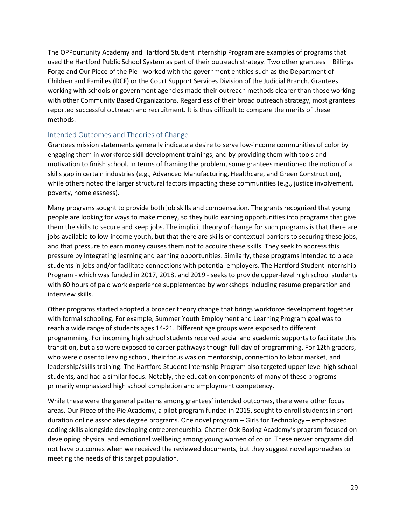The OPPourtunity Academy and Hartford Student Internship Program are examples of programs that used the Hartford Public School System as part of their outreach strategy. Two other grantees – Billings Forge and Our Piece of the Pie - worked with the government entities such as the Department of Children and Families (DCF) or the Court Support Services Division of the Judicial Branch. Grantees working with schools or government agencies made their outreach methods clearer than those working with other Community Based Organizations. Regardless of their broad outreach strategy, most grantees reported successful outreach and recruitment. It is thus difficult to compare the merits of these methods.

## <span id="page-28-0"></span>Intended Outcomes and Theories of Change

Grantees mission statements generally indicate a desire to serve low-income communities of color by engaging them in workforce skill development trainings, and by providing them with tools and motivation to finish school. In terms of framing the problem, some grantees mentioned the notion of a skills gap in certain industries (e.g., Advanced Manufacturing, Healthcare, and Green Construction), while others noted the larger structural factors impacting these communities (e.g., justice involvement, poverty, homelessness).

Many programs sought to provide both job skills and compensation. The grants recognized that young people are looking for ways to make money, so they build earning opportunities into programs that give them the skills to secure and keep jobs. The implicit theory of change for such programs is that there are jobs available to low-income youth, but that there are skills or contextual barriers to securing these jobs, and that pressure to earn money causes them not to acquire these skills. They seek to address this pressure by integrating learning and earning opportunities. Similarly, these programs intended to place students in jobs and/or facilitate connections with potential employers. The Hartford Student Internship Program - which was funded in 2017, 2018, and 2019 - seeks to provide upper-level high school students with 60 hours of paid work experience supplemented by workshops including resume preparation and interview skills.

Other programs started adopted a broader theory change that brings workforce development together with formal schooling. For example, Summer Youth Employment and Learning Program goal was to reach a wide range of students ages 14-21. Different age groups were exposed to different programming. For incoming high school students received social and academic supports to facilitate this transition, but also were exposed to career pathways though full-day of programming. For 12th graders, who were closer to leaving school, their focus was on mentorship, connection to labor market, and leadership/skills training. The Hartford Student Internship Program also targeted upper-level high school students, and had a similar focus. Notably, the education components of many of these programs primarily emphasized high school completion and employment competency.

While these were the general patterns among grantees' intended outcomes, there were other focus areas. Our Piece of the Pie Academy, a pilot program funded in 2015, sought to enroll students in shortduration online associates degree programs. One novel program – Girls for Technology – emphasized coding skills alongside developing entrepreneurship. Charter Oak Boxing Academy's program focused on developing physical and emotional wellbeing among young women of color. These newer programs did not have outcomes when we received the reviewed documents, but they suggest novel approaches to meeting the needs of this target population.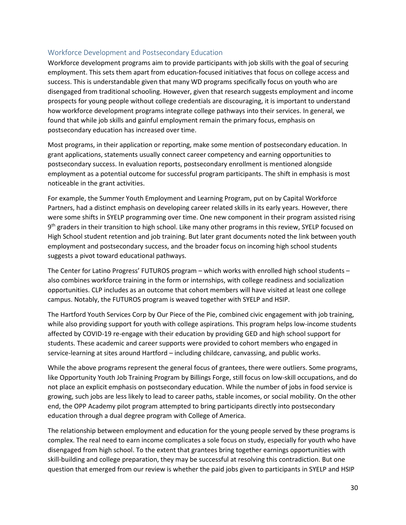## <span id="page-29-0"></span>Workforce Development and Postsecondary Education

Workforce development programs aim to provide participants with job skills with the goal of securing employment. This sets them apart from education-focused initiatives that focus on college access and success. This is understandable given that many WD programs specifically focus on youth who are disengaged from traditional schooling. However, given that research suggests employment and income prospects for young people without college credentials are discouraging, it is important to understand how workforce development programs integrate college pathways into their services. In general, we found that while job skills and gainful employment remain the primary focus, emphasis on postsecondary education has increased over time.

Most programs, in their application or reporting, make some mention of postsecondary education. In grant applications, statements usually connect career competency and earning opportunities to postsecondary success. In evaluation reports, postsecondary enrollment is mentioned alongside employment as a potential outcome for successful program participants. The shift in emphasis is most noticeable in the grant activities.

For example, the Summer Youth Employment and Learning Program, put on by Capital Workforce Partners, had a distinct emphasis on developing career related skills in its early years. However, there were some shifts in SYELP programming over time. One new component in their program assisted rising 9<sup>th</sup> graders in their transition to high school. Like many other programs in this review, SYELP focused on High School student retention and job training. But later grant documents noted the link between youth employment and postsecondary success, and the broader focus on incoming high school students suggests a pivot toward educational pathways.

The Center for Latino Progress' FUTUROS program – which works with enrolled high school students – also combines workforce training in the form or internships, with college readiness and socialization opportunities. CLP includes as an outcome that cohort members will have visited at least one college campus. Notably, the FUTUROS program is weaved together with SYELP and HSIP.

The Hartford Youth Services Corp by Our Piece of the Pie, combined civic engagement with job training, while also providing support for youth with college aspirations. This program helps low-income students affected by COVID-19 re-engage with their education by providing GED and high school support for students. These academic and career supports were provided to cohort members who engaged in service-learning at sites around Hartford – including childcare, canvassing, and public works.

While the above programs represent the general focus of grantees, there were outliers. Some programs, like Opportunity Youth Job Training Program by Billings Forge, still focus on low-skill occupations, and do not place an explicit emphasis on postsecondary education. While the number of jobs in food service is growing, such jobs are less likely to lead to career paths, stable incomes, or social mobility. On the other end, the OPP Academy pilot program attempted to bring participants directly into postsecondary education through a dual degree program with College of America.

The relationship between employment and education for the young people served by these programs is complex. The real need to earn income complicates a sole focus on study, especially for youth who have disengaged from high school. To the extent that grantees bring together earnings opportunities with skill-building and college preparation, they may be successful at resolving this contradiction. But one question that emerged from our review is whether the paid jobs given to participants in SYELP and HSIP